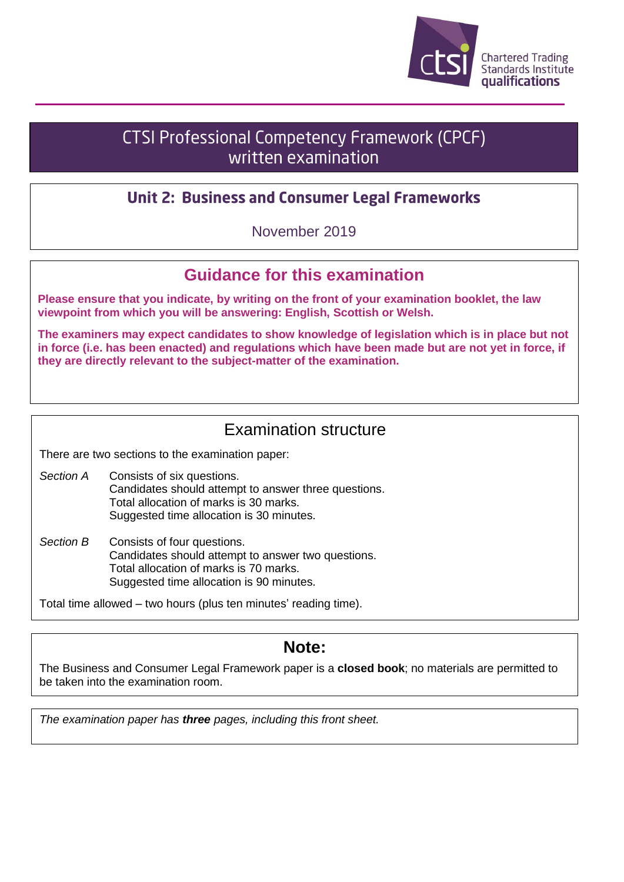

# CTSI Professional Competency Framework (CPCF) written examination

### **Unit 2: Business and Consumer Legal Frameworks**

November 2019

## **Guidance for this examination**

**Please ensure that you indicate, by writing on the front of your examination booklet, the law viewpoint from which you will be answering: English, Scottish or Welsh.**

**The examiners may expect candidates to show knowledge of legislation which is in place but not in force (i.e. has been enacted) and regulations which have been made but are not yet in force, if they are directly relevant to the subject-matter of the examination.**

### Examination structure

There are two sections to the examination paper:

- *Section A* Consists of six questions. Candidates should attempt to answer three questions. Total allocation of marks is 30 marks. Suggested time allocation is 30 minutes.
- *Section B* Consists of four questions. Candidates should attempt to answer two questions. Total allocation of marks is 70 marks. Suggested time allocation is 90 minutes.

Total time allowed – two hours (plus ten minutes' reading time).

## **Note:**

The Business and Consumer Legal Framework paper is a **closed book**; no materials are permitted to be taken into the examination room.

*The examination paper has three pages, including this front sheet.*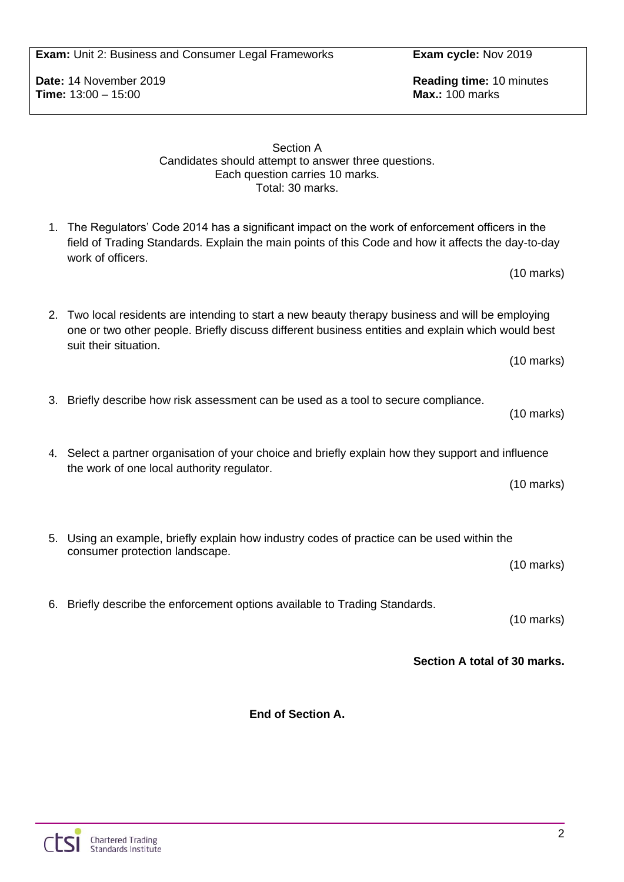**Exam:** Unit 2: Business and Consumer Legal Frameworks **Exam cycle:** Nov 2019

**Time:** 13:00 – 15:00 **Max.:** 100 marks

**Date:** 14 November 2019 **Reading time:** 10 minutes

#### Section A Candidates should attempt to answer three questions. Each question carries 10 marks. Total: 30 marks.

- 1. The Regulators' Code 2014 has a significant impact on the work of enforcement officers in the field of Trading Standards. Explain the main points of this Code and how it affects the day-to-day work of officers.
- 2. Two local residents are intending to start a new beauty therapy business and will be employing one or two other people. Briefly discuss different business entities and explain which would best suit their situation.
- 3. Briefly describe how risk assessment can be used as a tool to secure compliance.
- 4. Select a partner organisation of your choice and briefly explain how they support and influence the work of one local authority regulator.
- 5. Using an example, briefly explain how industry codes of practice can be used within the consumer protection landscape. (10 marks)

6. Briefly describe the enforcement options available to Trading Standards.

(10 marks)

(10 marks)

(10 marks)

(10 marks)

(10 marks)

**Section A total of 30 marks.**

**End of Section A.**